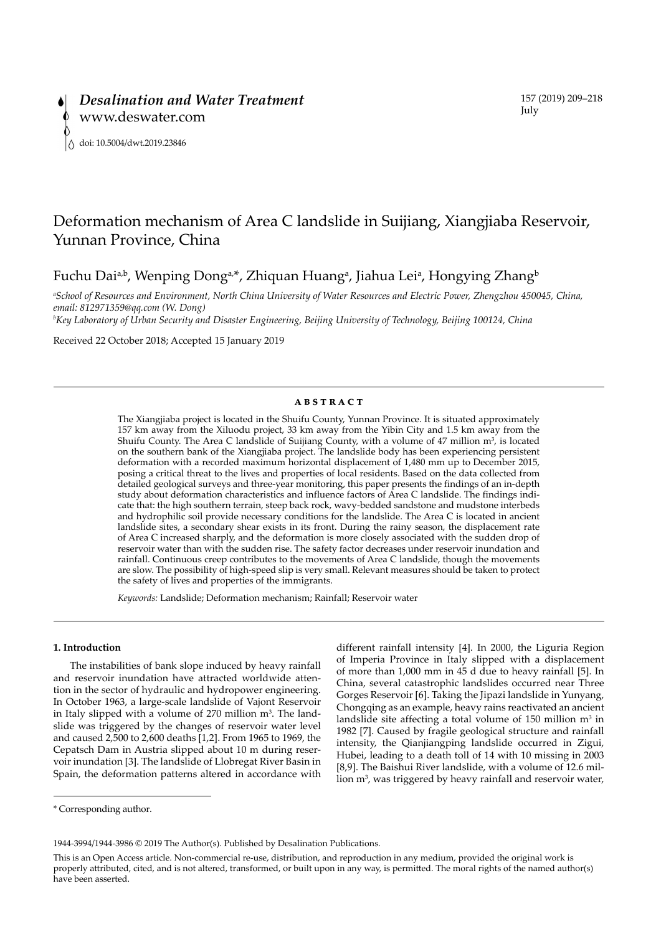# Deformation mechanism of Area C landslide in Suijiang, Xiangjiaba Reservoir, Yunnan Province, China

Fuchu Dai<sup>a,b</sup>, Wenping Dong<sup>a,\*</sup>, Zhiquan Huang<sup>a</sup>, Jiahua Lei<sup>a</sup>, Hongying Zhang<sup>b</sup>

*a School of Resources and Environment, North China University of Water Resources and Electric Power, Zhengzhou 450045, China, email: 812971359@qq.com (W. Dong)* 

*b Key Laboratory of Urban Security and Disaster Engineering, Beijing University of Technology, Beijing 100124, China*

Received 22 October 2018; Accepted 15 January 2019

### **ABSTRACT**

The Xiangjiaba project is located in the Shuifu County, Yunnan Province. It is situated approximately 157 km away from the Xiluodu project, 33 km away from the Yibin City and 1.5 km away from the Shuifu County. The Area C landslide of Suijiang County, with a volume of  $47$  million  $m<sup>3</sup>$ , is located on the southern bank of the Xiangjiaba project. The landslide body has been experiencing persistent deformation with a recorded maximum horizontal displacement of 1,480 mm up to December 2015, posing a critical threat to the lives and properties of local residents. Based on the data collected from detailed geological surveys and three-year monitoring, this paper presents the findings of an in-depth study about deformation characteristics and influence factors of Area C landslide. The findings indicate that: the high southern terrain, steep back rock, wavy-bedded sandstone and mudstone interbeds and hydrophilic soil provide necessary conditions for the landslide. The Area C is located in ancient landslide sites, a secondary shear exists in its front. During the rainy season, the displacement rate of Area C increased sharply, and the deformation is more closely associated with the sudden drop of reservoir water than with the sudden rise. The safety factor decreases under reservoir inundation and rainfall. Continuous creep contributes to the movements of Area C landslide, though the movements are slow. The possibility of high-speed slip is very small. Relevant measures should be taken to protect the safety of lives and properties of the immigrants.

*Keywords:* Landslide; Deformation mechanism; Rainfall; Reservoir water

# **1. Introduction**

The instabilities of bank slope induced by heavy rainfall and reservoir inundation have attracted worldwide attention in the sector of hydraulic and hydropower engineering. In October 1963, a large-scale landslide of Vajont Reservoir in Italy slipped with a volume of  $270$  million  $m<sup>3</sup>$ . The landslide was triggered by the changes of reservoir water level and caused 2,500 to 2,600 deaths [1,2]. From 1965 to 1969, the Cepatsch Dam in Austria slipped about 10 m during reservoir inundation [3]. The landslide of Llobregat River Basin in Spain, the deformation patterns altered in accordance with

different rainfall intensity [4]. In 2000, the Liguria Region of Imperia Province in Italy slipped with a displacement of more than 1,000 mm in 45 d due to heavy rainfall [5]. In China, several catastrophic landslides occurred near Three Gorges Reservoir [6]. Taking the Jipazi landslide in Yunyang, Chongqing as an example, heavy rains reactivated an ancient landslide site affecting a total volume of  $150$  million m<sup>3</sup> in 1982 [7]. Caused by fragile geological structure and rainfall intensity, the Qianjiangping landslide occurred in Zigui, Hubei, leading to a death toll of 14 with 10 missing in 2003 [8,9]. The Baishui River landslide, with a volume of 12.6 million m<sup>3</sup>, was triggered by heavy rainfall and reservoir water,

<sup>\*</sup> Corresponding author.

<sup>1944-3994/1944-3986 ©</sup> 2019 The Author(s). Published by Desalination Publications.

This is an Open Access article. Non-commercial re-use, distribution, and reproduction in any medium, provided the original work is properly attributed, cited, and is not altered, transformed, or built upon in any way, is permitted. The moral rights of the named author(s) have been asserted.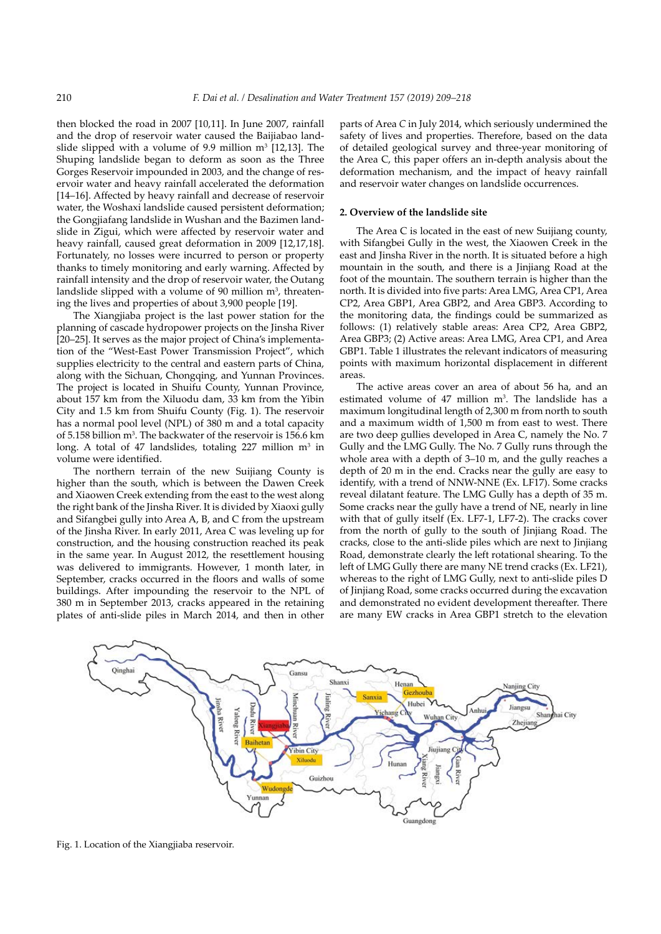then blocked the road in 2007 [10,11]. In June 2007, rainfall and the drop of reservoir water caused the Baijiabao landslide slipped with a volume of 9.9 million  $m^3$  [12,13]. The Shuping landslide began to deform as soon as the Three Gorges Reservoir impounded in 2003, and the change of reservoir water and heavy rainfall accelerated the deformation [14–16]. Affected by heavy rainfall and decrease of reservoir water, the Woshaxi landslide caused persistent deformation; the Gongjiafang landslide in Wushan and the Bazimen landslide in Zigui, which were affected by reservoir water and heavy rainfall, caused great deformation in 2009 [12,17,18]. Fortunately, no losses were incurred to person or property thanks to timely monitoring and early warning. Affected by rainfall intensity and the drop of reservoir water, the Outang landslide slipped with a volume of  $90$  million  $m<sup>3</sup>$ , threatening the lives and properties of about 3,900 people [19].

The Xiangjiaba project is the last power station for the planning of cascade hydropower projects on the Jinsha River [20–25]. It serves as the major project of China's implementation of the "West-East Power Transmission Project", which supplies electricity to the central and eastern parts of China, along with the Sichuan, Chongqing, and Yunnan Provinces. The project is located in Shuifu County, Yunnan Province, about 157 km from the Xiluodu dam, 33 km from the Yibin City and 1.5 km from Shuifu County (Fig. 1). The reservoir has a normal pool level (NPL) of 380 m and a total capacity of 5.158 billion m<sup>3</sup>. The backwater of the reservoir is 156.6 km long. A total of 47 landslides, totaling  $227$  million m<sup>3</sup> in volume were identified.

The northern terrain of the new Suijiang County is higher than the south, which is between the Dawen Creek and Xiaowen Creek extending from the east to the west along the right bank of the Jinsha River. It is divided by Xiaoxi gully and Sifangbei gully into Area A, B, and C from the upstream of the Jinsha River. In early 2011, Area C was leveling up for construction, and the housing construction reached its peak in the same year. In August 2012, the resettlement housing was delivered to immigrants. However, 1 month later, in September, cracks occurred in the floors and walls of some buildings. After impounding the reservoir to the NPL of 380 m in September 2013, cracks appeared in the retaining plates of anti-slide piles in March 2014, and then in other

parts of Area *C* in July 2014, which seriously undermined the safety of lives and properties. Therefore, based on the data of detailed geological survey and three-year monitoring of the Area C, this paper offers an in-depth analysis about the deformation mechanism, and the impact of heavy rainfall and reservoir water changes on landslide occurrences.

# **2. Overview of the landslide site**

The Area C is located in the east of new Suijiang county, with Sifangbei Gully in the west, the Xiaowen Creek in the east and Jinsha River in the north. It is situated before a high mountain in the south, and there is a Jinjiang Road at the foot of the mountain. The southern terrain is higher than the north. It is divided into five parts: Area LMG, Area CP1, Area CP2, Area GBP1, Area GBP2, and Area GBP3. According to the monitoring data, the findings could be summarized as follows: (1) relatively stable areas: Area CP2, Area GBP2, Area GBP3; (2) Active areas: Area LMG, Area CP1, and Area GBP1. Table 1 illustrates the relevant indicators of measuring points with maximum horizontal displacement in different areas.

The active areas cover an area of about 56 ha, and an estimated volume of  $47$  million m<sup>3</sup>. The landslide has a maximum longitudinal length of 2,300 m from north to south and a maximum width of 1,500 m from east to west. There are two deep gullies developed in Area C, namely the No. 7 Gully and the LMG Gully. The No. 7 Gully runs through the whole area with a depth of 3–10 m, and the gully reaches a depth of 20 m in the end. Cracks near the gully are easy to identify, with a trend of NNW-NNE (Ex. LF17). Some cracks reveal dilatant feature. The LMG Gully has a depth of 35 m. Some cracks near the gully have a trend of NE, nearly in line with that of gully itself (Ex. LF7-1, LF7-2). The cracks cover from the north of gully to the south of Jinjiang Road. The cracks, close to the anti-slide piles which are next to Jinjiang Road, demonstrate clearly the left rotational shearing. To the left of LMG Gully there are many NE trend cracks (Ex. LF21), whereas to the right of LMG Gully, next to anti-slide piles D of Jinjiang Road, some cracks occurred during the excavation and demonstrated no evident development thereafter. There are many EW cracks in Area GBP1 stretch to the elevation



Fig. 1. Location of the Xiangjiaba reservoir.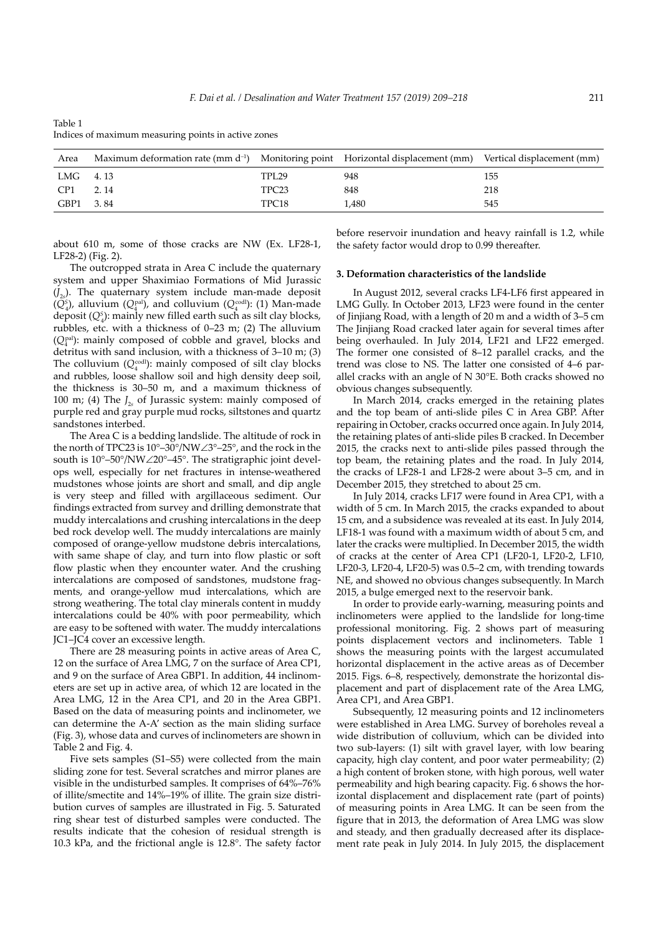| Area            | Maximum deformation rate (mm $d^{-1}$ ) Monitoring point Horizontal displacement (mm) Vertical displacement (mm) |                   |       |     |
|-----------------|------------------------------------------------------------------------------------------------------------------|-------------------|-------|-----|
| LMG 4.13        |                                                                                                                  | <b>TPL29</b>      | 948   | 155 |
| CP <sub>1</sub> | 2.14                                                                                                             | TPC <sub>23</sub> | 848   | 218 |
| GBP1 3.84       |                                                                                                                  | TPC <sub>18</sub> | 1.480 | 545 |

Table 1 Indices of maximum measuring points in active zones

about 610 m, some of those cracks are NW (Ex. LF28-1, LF28-2) (Fig. 2).

The outcropped strata in Area C include the quaternary system and upper Shaximiao Formations of Mid Jurassic (*J*2*s* ). The quaternary system include man-made deposit  $(Q_4^s)$ , alluvium  $(Q_4^{\text{pal}})$ , and colluvium  $(Q_4^{\text{cod}})$ : (1) Man-made deposit (*QS* 4 ): mainly new filled earth such as silt clay blocks, rubbles, etc. with a thickness of 0–23 m; (2) The alluvium ( $Q_4^{\text{pal}}$ ): mainly composed of cobble and gravel, blocks and detritus with sand inclusion, with a thickness of 3–10 m; (3) The colluvium  $(Q_4^{\text{cod}})$ : mainly composed of silt clay blocks and rubbles, loose shallow soil and high density deep soil, the thickness is 30–50 m, and a maximum thickness of 100 m; (4) The  $J_{2s}$  of Jurassic system: mainly composed of purple red and gray purple mud rocks, siltstones and quartz sandstones interbed.

The Area C is a bedding landslide. The altitude of rock in the north of TPC23 is 10°–30°/NW∠3°–25°, and the rock in the south is 10°–50°/NW∠20°–45°. The stratigraphic joint develops well, especially for net fractures in intense-weathered mudstones whose joints are short and small, and dip angle is very steep and filled with argillaceous sediment. Our findings extracted from survey and drilling demonstrate that muddy intercalations and crushing intercalations in the deep bed rock develop well. The muddy intercalations are mainly composed of orange-yellow mudstone debris intercalations, with same shape of clay, and turn into flow plastic or soft flow plastic when they encounter water. And the crushing intercalations are composed of sandstones, mudstone fragments, and orange-yellow mud intercalations, which are strong weathering. The total clay minerals content in muddy intercalations could be 40% with poor permeability, which are easy to be softened with water. The muddy intercalations JC1–JC4 cover an excessive length.

There are 28 measuring points in active areas of Area C, 12 on the surface of Area LMG, 7 on the surface of Area CP1, and 9 on the surface of Area GBP1. In addition, 44 inclinometers are set up in active area, of which 12 are located in the Area LMG, 12 in the Area CP1, and 20 in the Area GBP1. Based on the data of measuring points and inclinometer, we can determine the A-A' section as the main sliding surface (Fig. 3), whose data and curves of inclinometers are shown in Table 2 and Fig. 4.

Five sets samples (S1–S5) were collected from the main sliding zone for test. Several scratches and mirror planes are visible in the undisturbed samples. It comprises of 64%–76% of illite/smectite and 14%–19% of illite. The grain size distribution curves of samples are illustrated in Fig. 5. Saturated ring shear test of disturbed samples were conducted. The results indicate that the cohesion of residual strength is 10.3 kPa, and the frictional angle is 12.8°. The safety factor before reservoir inundation and heavy rainfall is 1.2, while the safety factor would drop to 0.99 thereafter.

# **3. Deformation characteristics of the landslide**

In August 2012, several cracks LF4-LF6 first appeared in LMG Gully. In October 2013, LF23 were found in the center of Jinjiang Road, with a length of 20 m and a width of 3–5 cm The Jinjiang Road cracked later again for several times after being overhauled. In July 2014, LF21 and LF22 emerged. The former one consisted of 8–12 parallel cracks, and the trend was close to NS. The latter one consisted of 4–6 parallel cracks with an angle of N 30°E. Both cracks showed no obvious changes subsequently.

In March 2014, cracks emerged in the retaining plates and the top beam of anti-slide piles C in Area GBP. After repairing in October, cracks occurred once again. In July 2014, the retaining plates of anti-slide piles B cracked. In December 2015, the cracks next to anti-slide piles passed through the top beam, the retaining plates and the road. In July 2014, the cracks of LF28-1 and LF28-2 were about 3–5 cm, and in December 2015, they stretched to about 25 cm.

In July 2014, cracks LF17 were found in Area CP1, with a width of 5 cm. In March 2015, the cracks expanded to about 15 cm, and a subsidence was revealed at its east. In July 2014, LF18-1 was found with a maximum width of about 5 cm, and later the cracks were multiplied. In December 2015, the width of cracks at the center of Area CP1 (LF20-1, LF20-2, LF10, LF20-3, LF20-4, LF20-5) was 0.5–2 cm, with trending towards NE, and showed no obvious changes subsequently. In March 2015, a bulge emerged next to the reservoir bank.

In order to provide early-warning, measuring points and inclinometers were applied to the landslide for long-time professional monitoring. Fig. 2 shows part of measuring points displacement vectors and inclinometers. Table 1 shows the measuring points with the largest accumulated horizontal displacement in the active areas as of December 2015. Figs. 6–8, respectively, demonstrate the horizontal displacement and part of displacement rate of the Area LMG, Area CP1, and Area GBP1.

Subsequently, 12 measuring points and 12 inclinometers were established in Area LMG. Survey of boreholes reveal a wide distribution of colluvium, which can be divided into two sub-layers: (1) silt with gravel layer, with low bearing capacity, high clay content, and poor water permeability; (2) a high content of broken stone, with high porous, well water permeability and high bearing capacity. Fig. 6 shows the horizontal displacement and displacement rate (part of points) of measuring points in Area LMG. It can be seen from the figure that in 2013, the deformation of Area LMG was slow and steady, and then gradually decreased after its displacement rate peak in July 2014. In July 2015, the displacement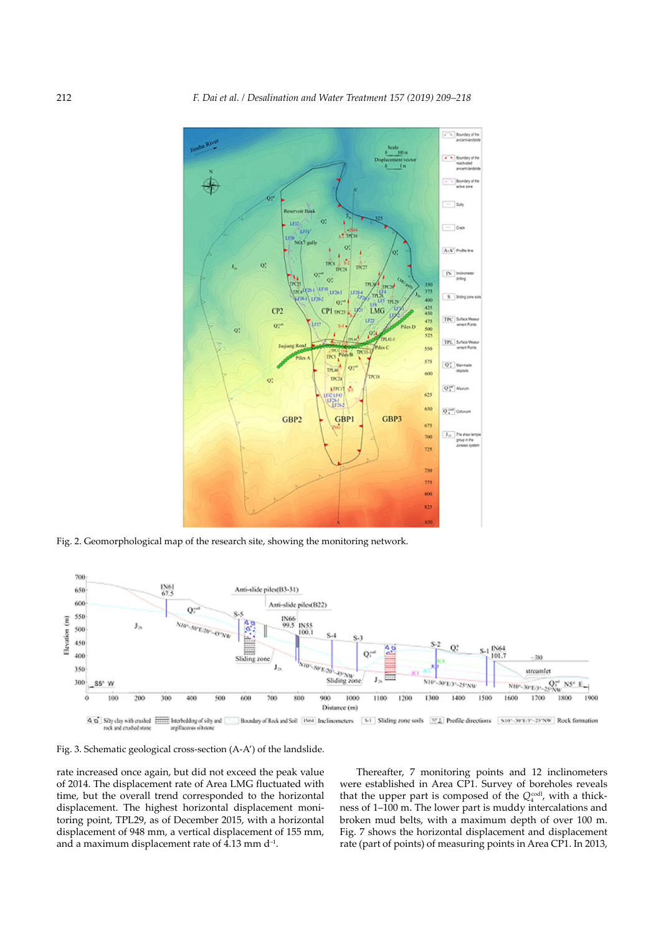

Fig. 2. Geomorphological map of the research site, showing the monitoring network.



Fig. 3. Schematic geological cross-section (A-A') of the landslide.

rate increased once again, but did not exceed the peak value of 2014. The displacement rate of Area LMG fluctuated with time, but the overall trend corresponded to the horizontal displacement. The highest horizontal displacement monitoring point, TPL29, as of December 2015, with a horizontal displacement of 948 mm, a vertical displacement of 155 mm, and a maximum displacement rate of 4.13 mm d–1.

Thereafter, 7 monitoring points and 12 inclinometers were established in Area CP1. Survey of boreholes reveals that the upper part is composed of the  $Q_4^{\text{cod}}$ , with a thickness of 1–100 m. The lower part is muddy intercalations and broken mud belts, with a maximum depth of over 100 m. Fig. 7 shows the horizontal displacement and displacement rate (part of points) of measuring points in Area CP1. In 2013,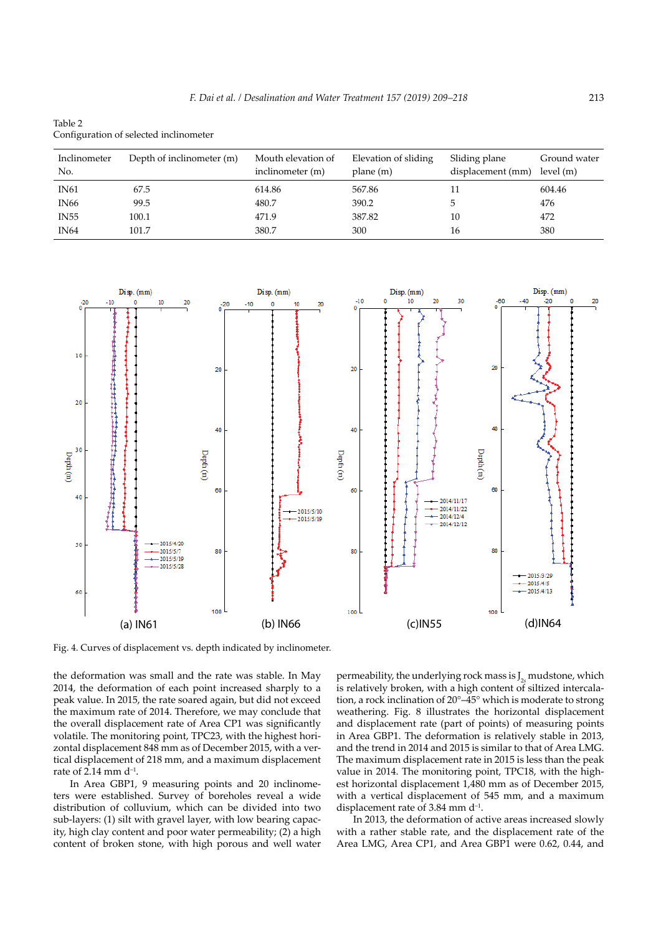Table 2 Configuration of selected inclinometer

| Inclinometer<br>No. | Depth of inclinometer (m) | Mouth elevation of<br>inclinometer (m) | Elevation of sliding<br>plane(m) | Sliding plane<br>displacement (mm) | Ground water<br>level(m) |
|---------------------|---------------------------|----------------------------------------|----------------------------------|------------------------------------|--------------------------|
| <b>IN61</b>         | 67.5                      | 614.86                                 | 567.86                           | 11                                 | 604.46                   |
| IN66                | 99.5                      | 480.7                                  | 390.2                            | b                                  | 476                      |
| <b>IN55</b>         | 100.1                     | 471.9                                  | 387.82                           | 10                                 | 472                      |
| <b>IN64</b>         | 101.7                     | 380.7                                  | 300                              | 16                                 | 380                      |



Fig. 4. Curves of displacement vs. depth indicated by inclinometer.

the deformation was small and the rate was stable. In May 2014, the deformation of each point increased sharply to a peak value. In 2015, the rate soared again, but did not exceed the maximum rate of 2014. Therefore, we may conclude that the overall displacement rate of Area CP1 was significantly volatile. The monitoring point, TPC23, with the highest horizontal displacement 848 mm as of December 2015, with a vertical displacement of 218 mm, and a maximum displacement rate of  $2.14$  mm d<sup>-1</sup>.

In Area GBP1, 9 measuring points and 20 inclinometers were established. Survey of boreholes reveal a wide distribution of colluvium, which can be divided into two sub-layers: (1) silt with gravel layer, with low bearing capacity, high clay content and poor water permeability; (2) a high content of broken stone, with high porous and well water

permeability, the underlying rock mass is  $J_{2s}$  mudstone, which is relatively broken, with a high content of siltized intercalation, a rock inclination of 20°–45° which is moderate to strong weathering. Fig. 8 illustrates the horizontal displacement and displacement rate (part of points) of measuring points in Area GBP1. The deformation is relatively stable in 2013, and the trend in 2014 and 2015 is similar to that of Area LMG. The maximum displacement rate in 2015 is less than the peak value in 2014. The monitoring point, TPC18, with the highest horizontal displacement 1,480 mm as of December 2015, with a vertical displacement of 545 mm, and a maximum displacement rate of 3.84 mm d–1.

In 2013, the deformation of active areas increased slowly with a rather stable rate, and the displacement rate of the Area LMG, Area CP1, and Area GBP1 were 0.62, 0.44, and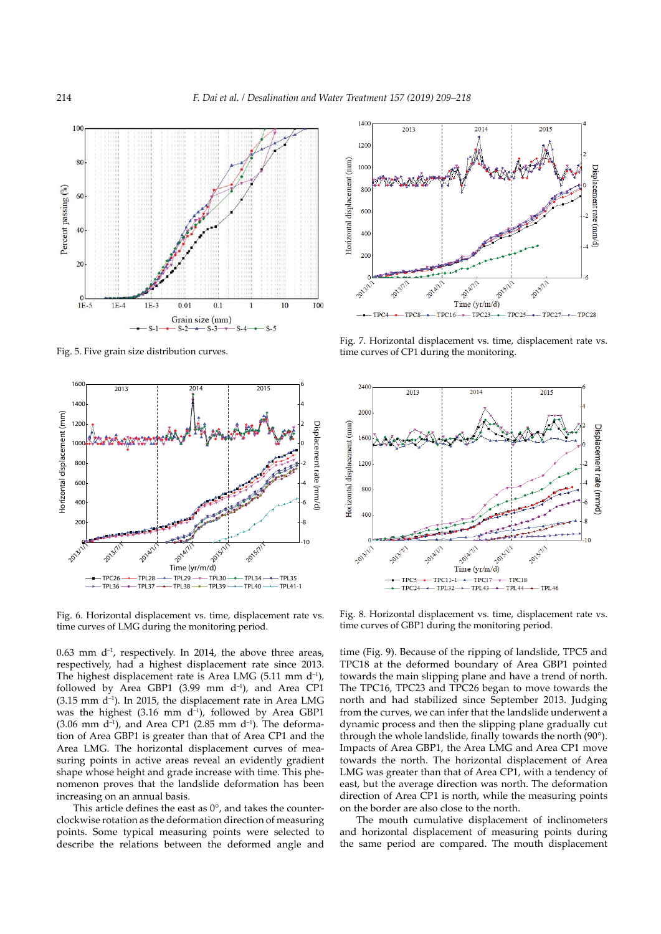

Fig. 5. Five grain size distribution curves.



Fig. 6. Horizontal displacement vs. time, displacement rate vs. time curves of LMG during the monitoring period.

 $0.63$  mm  $d^{-1}$ , respectively. In 2014, the above three areas, respectively, had a highest displacement rate since 2013. The highest displacement rate is Area LMG (5.11 mm  $d^{-1}$ ), followed by Area GBP1 (3.99 mm  $d^{-1}$ ), and Area CP1  $(3.15 \text{ mm d}^{-1})$ . In 2015, the displacement rate in Area LMG was the highest  $(3.16 \text{ mm } d^{-1})$ , followed by Area GBP1  $(3.06 \text{ mm } d^{-1})$ , and Area CP1  $(2.85 \text{ mm } d^{-1})$ . The deformation of Area GBP1 is greater than that of Area CP1 and the Area LMG. The horizontal displacement curves of measuring points in active areas reveal an evidently gradient shape whose height and grade increase with time. This phenomenon proves that the landslide deformation has been increasing on an annual basis.

This article defines the east as  $0^\circ$ , and takes the counterclockwise rotation as the deformation direction of measuring points. Some typical measuring points were selected to describe the relations between the deformed angle and



Fig. 7. Horizontal displacement vs. time, displacement rate vs. time curves of CP1 during the monitoring.



Fig. 8. Horizontal displacement vs. time, displacement rate vs. time curves of GBP1 during the monitoring period.

time (Fig. 9). Because of the ripping of landslide, TPC5 and TPC18 at the deformed boundary of Area GBP1 pointed towards the main slipping plane and have a trend of north. The TPC16, TPC23 and TPC26 began to move towards the north and had stabilized since September 2013. Judging from the curves, we can infer that the landslide underwent a dynamic process and then the slipping plane gradually cut through the whole landslide, finally towards the north (90°). Impacts of Area GBP1, the Area LMG and Area CP1 move towards the north. The horizontal displacement of Area LMG was greater than that of Area CP1, with a tendency of east, but the average direction was north. The deformation direction of Area CP1 is north, while the measuring points on the border are also close to the north.

The mouth cumulative displacement of inclinometers and horizontal displacement of measuring points during the same period are compared. The mouth displacement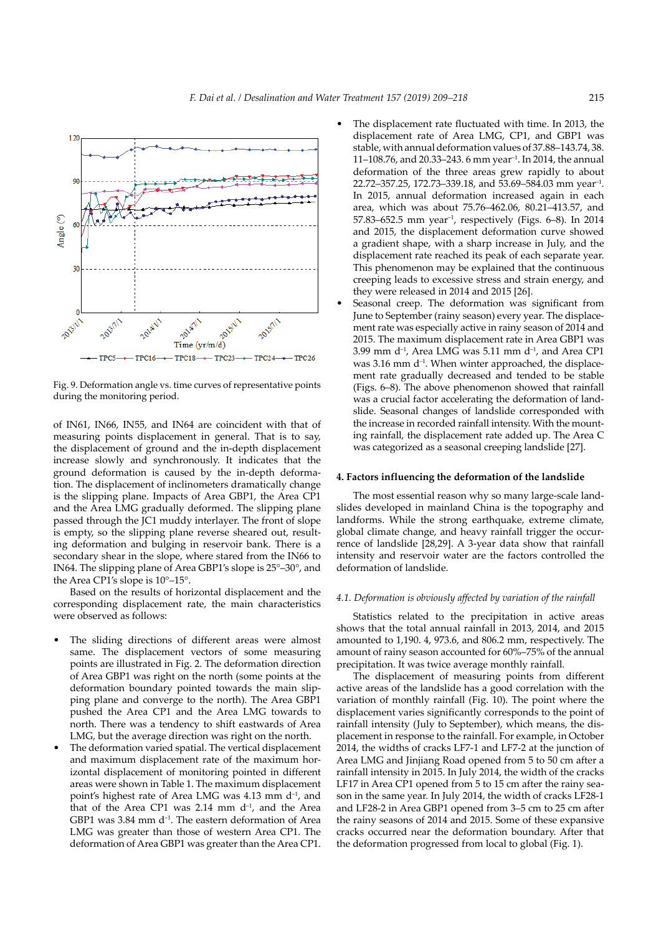

Fig. 9. Deformation angle vs. time curves of representative points during the monitoring period.

of IN61, IN66, IN55, and IN64 are coincident with that of measuring points displacement in general. That is to say, the displacement of ground and the in-depth displacement increase slowly and synchronously. It indicates that the ground deformation is caused by the in-depth deformation. The displacement of inclinometers dramatically change is the slipping plane. Impacts of Area GBP1, the Area CP1 and the Area LMG gradually deformed. The slipping plane passed through the JC1 muddy interlayer. The front of slope is empty, so the slipping plane reverse sheared out, resulting deformation and bulging in reservoir bank. There is a secondary shear in the slope, where stared from the IN66 to IN64. The slipping plane of Area GBP1's slope is 25°–30°, and the Area CP1's slope is 10°–15°.

Based on the results of horizontal displacement and the corresponding displacement rate, the main characteristics were observed as follows:

- The sliding directions of different areas were almost same. The displacement vectors of some measuring points are illustrated in Fig. 2. The deformation direction of Area GBP1 was right on the north (some points at the deformation boundary pointed towards the main slipping plane and converge to the north). The Area GBP1 pushed the Area CP1 and the Area LMG towards to north. There was a tendency to shift eastwards of Area LMG, but the average direction was right on the north.
- The deformation varied spatial. The vertical displacement and maximum displacement rate of the maximum horizontal displacement of monitoring pointed in different areas were shown in Table 1. The maximum displacement point's highest rate of Area LMG was 4.13 mm d<sup>-1</sup>, and that of the Area CP1 was 2.14 mm  $d^{-1}$ , and the Area GBP1 was  $3.84$  mm  $d^{-1}$ . The eastern deformation of Area LMG was greater than those of western Area CP1. The deformation of Area GBP1 was greater than the Area CP1.
- The displacement rate fluctuated with time. In 2013, the displacement rate of Area LMG, CP1, and GBP1 was stable, with annual deformation values of 37.88–143.74, 38. 11–108.76, and 20.33–243. 6 mm year–1. In 2014, the annual deformation of the three areas grew rapidly to about 22.72–357.25, 172.73–339.18, and 53.69–584.03 mm year–1. In 2015, annual deformation increased again in each area, which was about 75.76–462.06, 80.21–413.57, and 57.83–652.5 mm year<sup>-1</sup>, respectively (Figs. 6–8). In 2014 and 2015, the displacement deformation curve showed a gradient shape, with a sharp increase in July, and the displacement rate reached its peak of each separate year. This phenomenon may be explained that the continuous creeping leads to excessive stress and strain energy, and they were released in 2014 and 2015 [26].
- Seasonal creep. The deformation was significant from June to September (rainy season) every year. The displacement rate was especially active in rainy season of 2014 and 2015. The maximum displacement rate in Area GBP1 was  $3.99$  mm d<sup>-1</sup>, Area LMG was  $5.11$  mm d<sup>-1</sup>, and Area CP1 was  $3.16$  mm  $d^{-1}$ . When winter approached, the displacement rate gradually decreased and tended to be stable (Figs. 6–8). The above phenomenon showed that rainfall was a crucial factor accelerating the deformation of landslide. Seasonal changes of landslide corresponded with the increase in recorded rainfall intensity. With the mounting rainfall, the displacement rate added up. The Area C was categorized as a seasonal creeping landslide [27].

# **4. Factors influencing the deformation of the landslide**

The most essential reason why so many large-scale landslides developed in mainland China is the topography and landforms. While the strong earthquake, extreme climate, global climate change, and heavy rainfall trigger the occurrence of landslide [28,29]. A 3-year data show that rainfall intensity and reservoir water are the factors controlled the deformation of landslide.

### *4.1. Deformation is obviously affected by variation of the rainfall*

Statistics related to the precipitation in active areas shows that the total annual rainfall in 2013, 2014, and 2015 amounted to 1,190. 4, 973.6, and 806.2 mm, respectively. The amount of rainy season accounted for 60%–75% of the annual precipitation. It was twice average monthly rainfall.

The displacement of measuring points from different active areas of the landslide has a good correlation with the variation of monthly rainfall (Fig. 10). The point where the displacement varies significantly corresponds to the point of rainfall intensity (July to September), which means, the displacement in response to the rainfall. For example, in October 2014, the widths of cracks LF7-1 and LF7-2 at the junction of Area LMG and Jinjiang Road opened from 5 to 50 cm after a rainfall intensity in 2015. In July 2014, the width of the cracks LF17 in Area CP1 opened from 5 to 15 cm after the rainy season in the same year. In July 2014, the width of cracks LF28-1 and LF28-2 in Area GBP1 opened from 3–5 cm to 25 cm after the rainy seasons of 2014 and 2015. Some of these expansive cracks occurred near the deformation boundary. After that the deformation progressed from local to global (Fig. 1).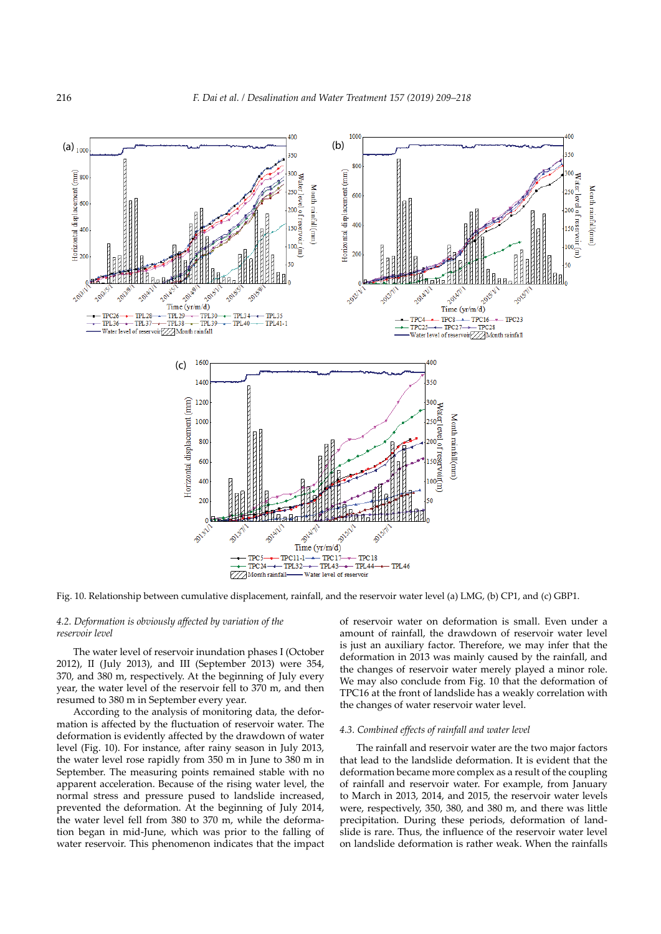

Fig. 10. Relationship between cumulative displacement, rainfall, and the reservoir water level (a) LMG, (b) CP1, and (c) GBP1.

# *4.2. Deformation is obviously affected by variation of the reservoir level*

The water level of reservoir inundation phases I (October 2012), II (July 2013), and III (September 2013) were 354, 370, and 380 m, respectively. At the beginning of July every year, the water level of the reservoir fell to 370 m, and then resumed to 380 m in September every year.

According to the analysis of monitoring data, the deformation is affected by the fluctuation of reservoir water. The deformation is evidently affected by the drawdown of water level (Fig. 10). For instance, after rainy season in July 2013, the water level rose rapidly from 350 m in June to 380 m in September. The measuring points remained stable with no apparent acceleration. Because of the rising water level, the normal stress and pressure pused to landslide increased, prevented the deformation. At the beginning of July 2014, the water level fell from 380 to 370 m, while the deformation began in mid-June, which was prior to the falling of water reservoir. This phenomenon indicates that the impact of reservoir water on deformation is small. Even under a amount of rainfall, the drawdown of reservoir water level is just an auxiliary factor. Therefore, we may infer that the deformation in 2013 was mainly caused by the rainfall, and the changes of reservoir water merely played a minor role. We may also conclude from Fig. 10 that the deformation of TPC16 at the front of landslide has a weakly correlation with the changes of water reservoir water level.

# *4.3. Combined effects of rainfall and water level*

The rainfall and reservoir water are the two major factors that lead to the landslide deformation. It is evident that the deformation became more complex as a result of the coupling of rainfall and reservoir water. For example, from January to March in 2013, 2014, and 2015, the reservoir water levels were, respectively, 350, 380, and 380 m, and there was little precipitation. During these periods, deformation of landslide is rare. Thus, the influence of the reservoir water level on landslide deformation is rather weak. When the rainfalls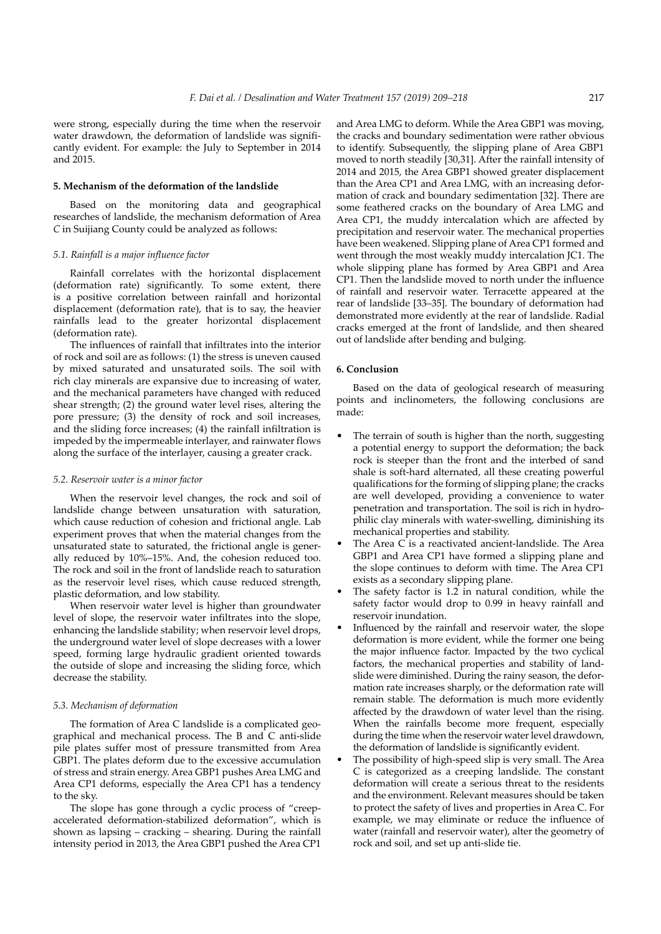were strong, especially during the time when the reservoir water drawdown, the deformation of landslide was significantly evident. For example: the July to September in 2014 and 2015.

## **5. Mechanism of the deformation of the landslide**

Based on the monitoring data and geographical researches of landslide, the mechanism deformation of Area *C* in Suijiang County could be analyzed as follows:

### *5.1. Rainfall is a major influence factor*

Rainfall correlates with the horizontal displacement (deformation rate) significantly. To some extent, there is a positive correlation between rainfall and horizontal displacement (deformation rate), that is to say, the heavier rainfalls lead to the greater horizontal displacement (deformation rate).

The influences of rainfall that infiltrates into the interior of rock and soil are as follows: (1) the stress is uneven caused by mixed saturated and unsaturated soils. The soil with rich clay minerals are expansive due to increasing of water, and the mechanical parameters have changed with reduced shear strength; (2) the ground water level rises, altering the pore pressure; (3) the density of rock and soil increases, and the sliding force increases; (4) the rainfall infiltration is impeded by the impermeable interlayer, and rainwater flows along the surface of the interlayer, causing a greater crack.

### *5.2. Reservoir water is a minor factor*

When the reservoir level changes, the rock and soil of landslide change between unsaturation with saturation, which cause reduction of cohesion and frictional angle. Lab experiment proves that when the material changes from the unsaturated state to saturated, the frictional angle is generally reduced by 10%–15%. And, the cohesion reduced too. The rock and soil in the front of landslide reach to saturation as the reservoir level rises, which cause reduced strength, plastic deformation, and low stability.

When reservoir water level is higher than groundwater level of slope, the reservoir water infiltrates into the slope, enhancing the landslide stability; when reservoir level drops, the underground water level of slope decreases with a lower speed, forming large hydraulic gradient oriented towards the outside of slope and increasing the sliding force, which decrease the stability.

### *5.3. Mechanism of deformation*

The formation of Area C landslide is a complicated geographical and mechanical process. The B and C anti-slide pile plates suffer most of pressure transmitted from Area GBP1. The plates deform due to the excessive accumulation of stress and strain energy. Area GBP1 pushes Area LMG and Area CP1 deforms, especially the Area CP1 has a tendency to the sky.

The slope has gone through a cyclic process of "creepaccelerated deformation-stabilized deformation", which is shown as lapsing – cracking – shearing. During the rainfall intensity period in 2013, the Area GBP1 pushed the Area CP1 and Area LMG to deform. While the Area GBP1 was moving, the cracks and boundary sedimentation were rather obvious to identify. Subsequently, the slipping plane of Area GBP1 moved to north steadily [30,31]. After the rainfall intensity of 2014 and 2015, the Area GBP1 showed greater displacement than the Area CP1 and Area LMG, with an increasing deformation of crack and boundary sedimentation [32]. There are some feathered cracks on the boundary of Area LMG and Area CP1, the muddy intercalation which are affected by precipitation and reservoir water. The mechanical properties have been weakened. Slipping plane of Area CP1 formed and went through the most weakly muddy intercalation JC1. The whole slipping plane has formed by Area GBP1 and Area CP1. Then the landslide moved to north under the influence of rainfall and reservoir water. Terracette appeared at the rear of landslide [33–35]. The boundary of deformation had demonstrated more evidently at the rear of landslide. Radial cracks emerged at the front of landslide, and then sheared out of landslide after bending and bulging.

### **6. Conclusion**

Based on the data of geological research of measuring points and inclinometers, the following conclusions are made:

- The terrain of south is higher than the north, suggesting a potential energy to support the deformation; the back rock is steeper than the front and the interbed of sand shale is soft-hard alternated, all these creating powerful qualifications for the forming of slipping plane; the cracks are well developed, providing a convenience to water penetration and transportation. The soil is rich in hydrophilic clay minerals with water-swelling, diminishing its mechanical properties and stability.
- The Area C is a reactivated ancient-landslide. The Area GBP1 and Area CP1 have formed a slipping plane and the slope continues to deform with time. The Area CP1 exists as a secondary slipping plane.
- The safety factor is 1.2 in natural condition, while the safety factor would drop to 0.99 in heavy rainfall and reservoir inundation.
- Influenced by the rainfall and reservoir water, the slope deformation is more evident, while the former one being the major influence factor. Impacted by the two cyclical factors, the mechanical properties and stability of landslide were diminished. During the rainy season, the deformation rate increases sharply, or the deformation rate will remain stable. The deformation is much more evidently affected by the drawdown of water level than the rising. When the rainfalls become more frequent, especially during the time when the reservoir water level drawdown, the deformation of landslide is significantly evident.
- The possibility of high-speed slip is very small. The Area C is categorized as a creeping landslide. The constant deformation will create a serious threat to the residents and the environment. Relevant measures should be taken to protect the safety of lives and properties in Area C. For example, we may eliminate or reduce the influence of water (rainfall and reservoir water), alter the geometry of rock and soil, and set up anti-slide tie.